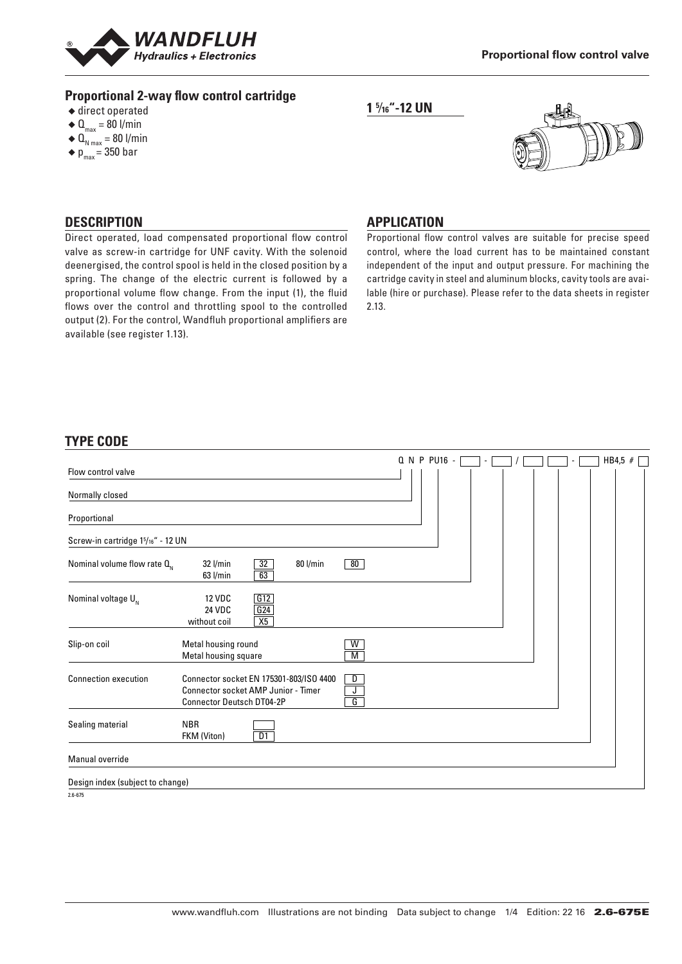

## **Proportional 2-way flow control cartridge**

- $\triangle$  direct operated
- $\triangleleft$  Q<sub>max</sub> = 80 l/min
- $\triangleleft$  Q<sub>N max</sub> = 80 l/min
- $\bullet$  p<sub>max</sub> = 350 bar





#### **DESCRIPTION**

Direct operated, load compensated proportional flow control valve as screw-in cartridge for UNF cavity. With the solenoid deenergised, the control spool is held in the closed position by a spring. The change of the electric current is followed by a proportional volume flow change. From the input (1), the fluid flows over the control and throttling spool to the controlled output (2). For the control, Wandfluh proportional amplifiers are available (see register 1.13).

## **APPLICATION**

Proportional flow control valves are suitable for precise speed control, where the load current has to be maintained constant independent of the input and output pressure. For machining the cartridge cavity in steel and aluminum blocks, cavity tools are available (hire or purchase). Please refer to the data sheets in register 2.13.

#### **TYPE CODE**

|                                                |                                                                                                                                          |        | Q N P PU16 - |  |  | HB4,5 $#$ |
|------------------------------------------------|------------------------------------------------------------------------------------------------------------------------------------------|--------|--------------|--|--|-----------|
| Flow control valve                             |                                                                                                                                          |        |              |  |  |           |
| Normally closed                                |                                                                                                                                          |        |              |  |  |           |
| Proportional                                   |                                                                                                                                          |        |              |  |  |           |
| Screw-in cartridge 1 <sup>5</sup> /16" - 12 UN |                                                                                                                                          |        |              |  |  |           |
| Nominal volume flow rate $Q_{N}$               | $\overline{32}$<br>$32$ l/min<br>80 l/min<br>$63$ l/min<br>63                                                                            | 80     |              |  |  |           |
| Nominal voltage $U_{N}$                        | <b>12 VDC</b><br>G12<br>G24<br><b>24 VDC</b><br>X5<br>without coil                                                                       |        |              |  |  |           |
| Slip-on coil                                   | Metal housing round<br>Metal housing square                                                                                              | W<br>М |              |  |  |           |
| <b>Connection execution</b>                    | Connector socket EN 175301-803/ISO 4400<br>D<br><b>Connector socket AMP Junior - Timer</b><br>J<br>G<br><b>Connector Deutsch DT04-2P</b> |        |              |  |  |           |
| Sealing material                               | <b>NBR</b><br>D1<br>FKM (Viton)                                                                                                          |        |              |  |  |           |
| Manual override                                |                                                                                                                                          |        |              |  |  |           |
| Design index (subject to change)               |                                                                                                                                          |        |              |  |  |           |

 $2.6 - 675$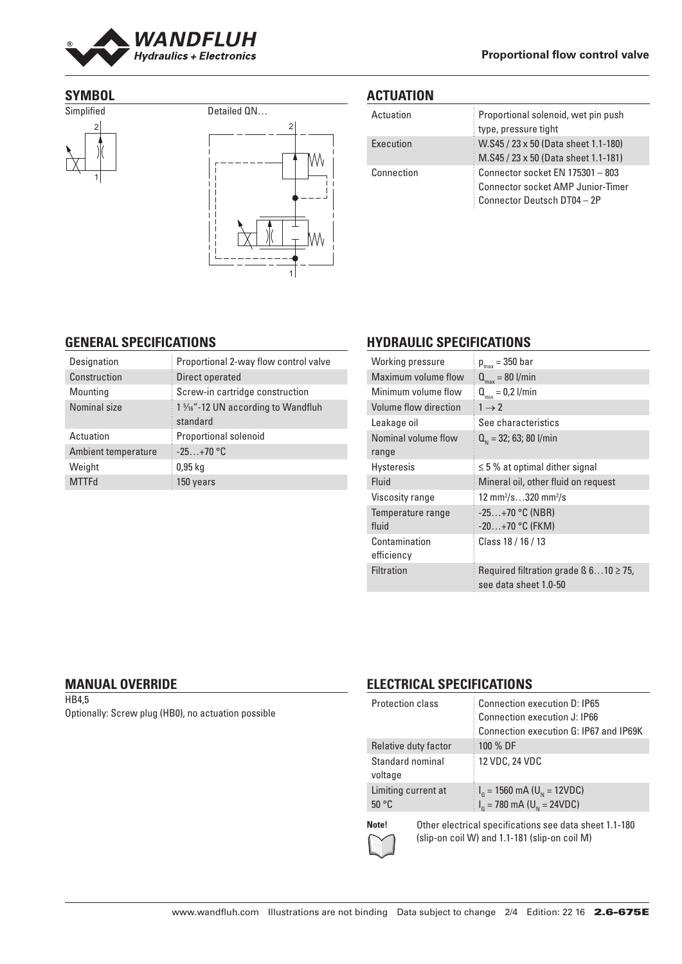

### **SYMBOL**





## **ACTUATION**

| Actuation  | Proportional solenoid, wet pin push<br>type, pressure tight                                                 |
|------------|-------------------------------------------------------------------------------------------------------------|
| Execution  | W.S45 / 23 x 50 (Data sheet 1.1-180)<br>M.S45 / 23 x 50 (Data sheet 1.1-181)                                |
| Connection | Connector socket EN 175301 - 803<br><b>Connector socket AMP Junior-Timer</b><br>Connector Deutsch DT04 - 2P |

### **GENERAL SPECIFICATIONS**

| Designation         | Proportional 2-way flow control valve         |
|---------------------|-----------------------------------------------|
| Construction        | Direct operated                               |
| Mounting            | Screw-in cartridge construction               |
| Nominal size        | 1 % "-12 UN according to Wandfluh<br>standard |
| Actuation           | Proportional solenoid                         |
| Ambient temperature | $-25+70$ °C                                   |
| Weight              | $0.95$ kg                                     |
| <b>MTTFd</b>        | 150 years                                     |

## **HYDRAULIC SPECIFICATIONS**

| Working pressure      | $p_{max}$ = 350 bar                                                       |
|-----------------------|---------------------------------------------------------------------------|
| Maximum volume flow   | $Q_{\text{max}} = 80$ l/min                                               |
| Minimum volume flow   | $Q_{\min} = 0.2$ l/min                                                    |
| Volume flow direction | $1 \rightarrow 2$                                                         |
| Leakage oil           | See characteristics                                                       |
| Nominal volume flow   | $Q_{N}$ = 32; 63; 80 l/min                                                |
| range                 |                                                                           |
| <b>Hysteresis</b>     | $\leq$ 5 % at optimal dither signal                                       |
| Fluid                 | Mineral oil, other fluid on request                                       |
| Viscosity range       | 12 mm <sup>2</sup> /s320 mm <sup>2</sup> /s                               |
| Temperature range     | $-25+70$ °C (NBR)                                                         |
| fluid                 | $-20+70$ °C (FKM)                                                         |
| Contamination         | Class 18 / 16 / 13                                                        |
| efficiency            |                                                                           |
| <b>Filtration</b>     | Required filtration grade $\beta$ 610 $\geq$ 75,<br>see data sheet 1.0-50 |

#### **MANUAL OVERRIDE**

HB4,5 Optionally: Screw plug (HB0), no actuation possible

## **ELECTRICAL SPECIFICATIONS**

| Protection class                      | <b>Connection execution D: IP65</b>                                                         |
|---------------------------------------|---------------------------------------------------------------------------------------------|
|                                       | <b>Connection execution J: IP66</b>                                                         |
|                                       | Connection execution G: IP67 and IP69K                                                      |
| Relative duty factor                  | 100 % DF                                                                                    |
| Standard nominal<br>voltage           | 12 VDC, 24 VDC                                                                              |
| Limiting current at<br>$50^{\circ}$ C | $I_{\rm g}$ = 1560 mA (U <sub>N</sub> = 12VDC)<br>$I_{G}$ = 780 mA (U <sub>N</sub> = 24VDC) |

**Note!** Other electrical specifications see data sheet 1.1-180 (slip-on coil W) and 1.1-181 (slip-on coil M)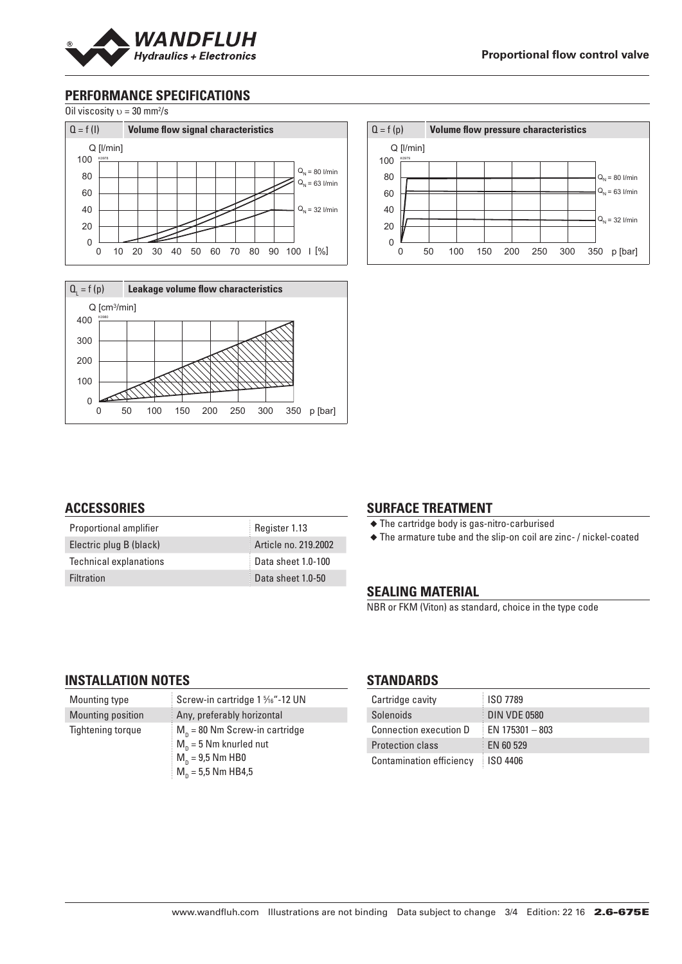

## **PERFORMANCE SPECIFICATIONS**

Oil viscosity  $v = 30$  mm<sup>2</sup>/s







### **ACCESSORIES**

| Proportional amplifier        | Register 1.13        |
|-------------------------------|----------------------|
| Electric plug B (black)       | Article no. 219.2002 |
| <b>Technical explanations</b> | Data sheet 1.0-100   |
| <b>Filtration</b>             | Data sheet 1.0-50    |

#### **SURFACE TREATMENT**

◆ The cartridge body is gas-nitro-carburised

◆ The armature tube and the slip-on coil are zinc- / nickel-coated

#### **SEALING MATERIAL**

NBR or FKM (Viton) as standard, choice in the type code

#### **INSTALLATION NOTES**

| Mounting type     | Screw-in cartridge 1 %6"-12 UN                       |
|-------------------|------------------------------------------------------|
| Mounting position | Any, preferably horizontal                           |
| Tightening torque | $M_{\rm n}$ = 80 Nm Screw-in cartridge               |
|                   | $M_{\rm n}$ = 5 Nm knurled nut<br>$M_n = 9.5$ Nm HB0 |
|                   | $M_n = 5.5$ Nm HB4.5                                 |

#### **STANDARDS**

| Cartridge cavity              | ISO 7789           |
|-------------------------------|--------------------|
| Solenoids                     | DIN VDE 0580       |
| <b>Connection execution D</b> | $E$ N 175301 - 803 |
| <b>Protection class</b>       | EN 60 529          |
| Contamination efficiency      | <b>ISO 4406</b>    |